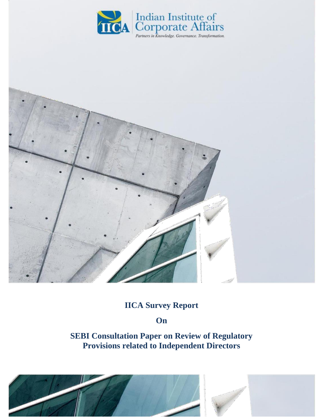



# **IICA Survey Report**

### **On**

**SEBI Consultation Paper on Review of Regulatory Provisions related to Independent Directors**



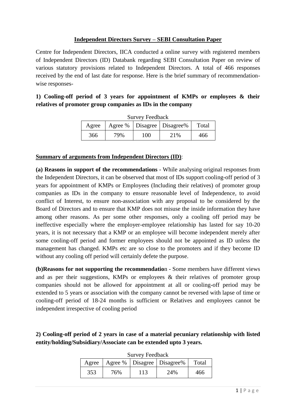#### **Independent Directors Survey – SEBI Consultation Paper**

Centre for Independent Directors, IICA conducted a online survey with registered members of Independent Directors (ID) Databank regarding SEBI Consultation Paper on review of various statutory provisions related to Independent Directors. A total of 466 responses received by the end of last date for response. Here is the brief summary of recommendationwise responses-

**1) Cooling-off period of 3 years for appointment of KMPs or employees & their relatives of promoter group companies as IDs in the company**

| <b>Survey Feedback</b>                            |     |     |     |     |
|---------------------------------------------------|-----|-----|-----|-----|
| Agree %   Disagree   Disagree %<br>Total<br>Agree |     |     |     |     |
| 366                                               | 79% | 100 | 21% | 466 |

#### **Summary of arguments from Independent Directors (ID)**:

**(a) Reasons in support of the recommendations** - While analysing original responses from the Independent Directors, it can be observed that most of IDs support cooling-off period of 3 years for appointment of KMPs or Employees (Including their relatives) of promoter group companies as IDs in the company to ensure reasonable level of Independence, to avoid conflict of Interest, to ensure non-association with any proposal to be considered by the Board of Directors and to ensure that KMP does not misuse the inside information they have among other reasons. As per some other responses, only a cooling off period may be ineffective especially where the employer-employee relationship has lasted for say 10-20 years, it is not necessary that a KMP or an employee will become independent merely after some cooling-off period and former employees should not be appointed as ID unless the management has changed. KMPs etc are so close to the promoters and if they become ID without any cooling off period will certainly defete the purpose.

**(b)Reasons for not supporting the recommendatio**n - Some members have different views and as per their suggestions, KMPs or employees & their relatives of promoter group companies should not be allowed for appointment at all or cooling-off period may be extended to 5 years or association with the company cannot be reversed with lapse of time or cooling-off period of 18-24 months is sufficient or Relatives and employees cannot be independent irrespective of cooling period

**2) Cooling-off period of 2 years in case of a material pecuniary relationship with listed entity/holding/Subsidiary/Associate can be extended upto 3 years.**

| Agree |     | DUI VUY I CUUDAUN | Agree %   Disagree   Disagree % | Total |
|-------|-----|-------------------|---------------------------------|-------|
| 353   | 76% | 113               | 24%                             | 466   |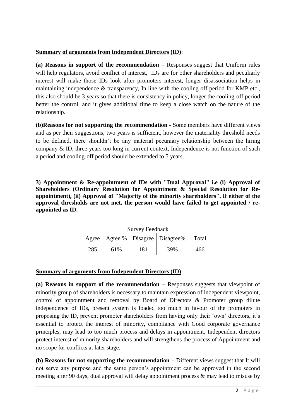#### **Summary of arguments from Independent Directors (ID)**:

**(a) Reasons in support of the recommendation** – Responses suggest that Uniform rules will help regulators, avoid conflict of interest, IDs are for other shareholders and peculiarly interest will make those IDs look after promoters interest, longer disassociation helps in maintaining independence & transparency, In line with the cooling off period for KMP etc., this also should be 3 years so that there is consistency in policy, longer the cooling-off period better the control, and it gives additional time to keep a close watch on the nature of the relationship.

**(b)Reasons for not supporting the recommendation** - Some members have different views and as per their suggestions, two years is sufficient, however the materiality threshold needs to be defined, there shouldn't be any material pecuniary relationship between the hiring company & ID, three years too long in current context, Independence is not function of such a period and cooling-off period should be extended to 5 years.

**3) Appointment & Re-appointment of IDs with "Dual Approval" i.e (i) Approval of Shareholders (Ordinary Resolution for Appointment & Special Resolution for Reappointment), (ii) Approval of "Majority of the minority shareholders". If either of the approval thresholds are not met, the person would have failed to get appointed / reappointed as ID.**

| <b>Survey Feedback</b>                           |     |     |     |     |
|--------------------------------------------------|-----|-----|-----|-----|
| Agree   Agree %   Disagree   Disagree %<br>Total |     |     |     |     |
| 285                                              | 61% | 181 | 39% | 466 |

#### **Summary of arguments from Independent Directors (ID)**:

**(a) Reasons in support of the recommendation –** Responses suggests that viewpoint of minority group of shareholders is necessary to maintain expression of independent viewpoint, control of appointment and removal by Board of Directors & Promoter group dilute independence of IDs, present system is loaded too much in favour of the promoters in proposing the ID, prevent promoter shareholders from having only their 'own' directors, it's essential to protect the interest of minority, compliance with Good corporate governance principles, may lead to too much process and delays in appointment, Independent directors protect interest of minority shareholders and will strengthens the process of Appointment and no scope for conflicts at later stage.

**(b) Reasons for not supporting the recommendation –** Different views suggest that It will not serve any purpose and the same person's appointment can be approved in the second meeting after 90 days, dual approval will delay appointment process & may lead to misuse by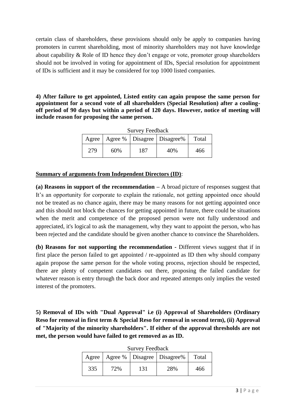certain class of shareholders, these provisions should only be apply to companies having promoters in current shareholding, most of minority shareholders may not have knowledge about capability & Role of ID hence they don't engage or vote, promoter group shareholders should not be involved in voting for appointment of IDs, Special resolution for appointment of IDs is sufficient and it may be considered for top 1000 listed companies.

**4) After failure to get appointed, Listed entity can again propose the same person for appointment for a second vote of all shareholders (Special Resolution) after a coolingoff period of 90 days but within a period of 120 days. However, notice of meeting will include reason for proposing the same person.**

| <b>Survey Feedback</b> |     |     |                                         |       |
|------------------------|-----|-----|-----------------------------------------|-------|
|                        |     |     | Agree   Agree %   Disagree   Disagree % | Total |
| 279                    | 60% | 187 | 40%                                     | 466   |

#### **Summary of arguments from Independent Directors (ID)**:

**(a) Reasons in support of the recommendation –** A broad picture of responses suggest that It's an opportunity for corporate to explain the rationale, not getting appointed once should not be treated as no chance again, there may be many reasons for not getting appointed once and this should not block the chances for getting appointed in future, there could be situations when the merit and competence of the proposed person were not fully understood and appreciated, it's logical to ask the management, why they want to appoint the person, who has been rejected and the candidate should be given another chance to convince the Shareholders.

**(b) Reasons for not supporting the recommendation -** Different views suggest that if in first place the person failed to get appointed / re-appointed as ID then why should company again propose the same person for the whole voting process, rejection should be respected, there are plenty of competent candidates out there, proposing the failed candidate for whatever reason is entry through the back door and repeated attempts only implies the vested interest of the promoters.

**5) Removal of IDs with "Dual Approval" i.e (i) Approval of Shareholders (Ordinary Reso for removal in first term & Special Reso for removal in second term), (ii) Approval of "Majority of the minority shareholders". If either of the approval thresholds are not met, the person would have failed to get removed as as ID.**

|     |     |     | Agree   Agree %   Disagree   Disagree % | Total |
|-----|-----|-----|-----------------------------------------|-------|
| 335 | 72% | 131 | 28%                                     | 466   |

Survey Feedback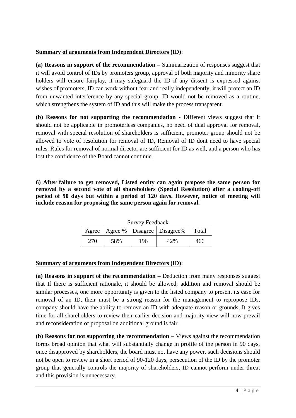#### **Summary of arguments from Independent Directors (ID)**:

**(a) Reasons in support of the recommendation –** Summarization of responses suggest that it will avoid control of IDs by promoters group, approval of both majority and minority share holders will ensure fairplay, it may safeguard the ID if any dissent is expressed against wishes of promoters, ID can work without fear and really independently, it will protect an ID from unwanted interference by any special group, ID would not be removed as a routine, which strengthens the system of ID and this will make the process transparent.

**(b) Reasons for not supporting the recommendation -** Different views suggest that it should not be applicable in promoterless companies, no need of dual approval for removal, removal with special resolution of shareholders is sufficient, promoter group should not be allowed to vote of resolution for removal of ID, Removal of ID dont need to have special rules. Rules for removal of normal director are sufficient for ID as well, and a person who has lost the confidence of the Board cannot continue.

**6) After failure to get removed, Listed entity can again propose the same person for removal by a second vote of all shareholders (Special Resolution) after a cooling-off period of 90 days but within a period of 120 days. However, notice of meeting will include reason for proposing the same person again for removal.**

| <b>Survey Feedback</b>                           |     |     |     |     |
|--------------------------------------------------|-----|-----|-----|-----|
| Agree   Agree %   Disagree   Disagree %<br>Total |     |     |     |     |
| 270                                              | 58% | 196 | 42% | 466 |

#### **Summary of arguments from Independent Directors (ID)**:

**(a) Reasons in support of the recommendation –** Deduction from many responses suggest that If there is sufficient rationale, it should be allowed, addition and removal should be similar processes, one more opportunity is given to the listed company to present its case for removal of an ID, their must be a strong reason for the management to repropose IDs, company should have the ability to remove an ID with adequate reason or grounds, It gives time for all shareholders to review their earlier decision and majority view will now prevail and reconsideration of proposal on additional ground is fair.

**(b) Reasons for not supporting the recommendation –** Views against the recommendation forms broad opinion that what will substantially change in profile of the person in 90 days, once disapproved by shareholders, the board must not have any power, such decisions should not be open to review in a short period of 90-120 days, persecution of the ID by the promoter group that generally controls the majority of shareholders, ID cannot perform under threat and this provision is unnecessary.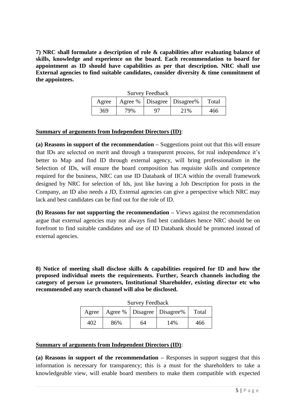**7) NRC shall formulate a description of role & capabilities after evaluating balance of skills, knowledge and experience on the board. Each recommendation to board for appointment as ID should have capabilities as per that description. NRC shall use External agencies to find suitable candidates, consider diversity & time commitment of the appointees.**

|       |     | <b>Survey Feedback</b> |                                 |       |
|-------|-----|------------------------|---------------------------------|-------|
| Agree |     |                        | Agree %   Disagree   Disagree % | Total |
| 369   | 79% | 97                     | 21%                             | 466   |

#### **Summary of arguments from Independent Directors (ID)**:

**(a) Reasons in support of the recommendation –** Suggestions point out that this will ensure that IDs are selected on merit and through a transparent process, for real independence it's better to Map and find ID through external agency, will bring professionalism in the Selection of IDs, will ensure the board composition has requisite skills and competence required for the business, NRC can use ID Databank of IICA within the overall framework designed by NRC for selection of Ids, just like having a Job Description for posts in the Company, an ID also needs a JD, External agencies can give a perspective which NRC may lack and best candidates can be find out for the role of ID.

**(b) Reasons for not supporting the recommendation –** Views against the recommendation argue that external agencies may not always find best candidates hence NRC should be on forefront to find suitable candidates and use of ID Databank should be promoted instead of external agencies.

**8) Notice of meeting shall disclose skills & capabilities required for ID and how the proposed individual meets the requirements. Further, Search channels including the category of person i.e promoters, Institutional Shareholder, existing director etc who recommended any search channel will also be disclosed.**

| <b>Survey Feedback</b>                           |     |    |     |     |
|--------------------------------------------------|-----|----|-----|-----|
| Agree   Agree %   Disagree   Disagree %<br>Total |     |    |     |     |
| 402                                              | 86% | 64 | 14% | 466 |

#### **Summary of arguments from Independent Directors (ID)**:

**(a) Reasons in support of the recommendation –** Responses in support suggest that this information is necessary for transparency; this is a must for the shareholders to take a knowledgeable view, will enable board members to make them compatible with expected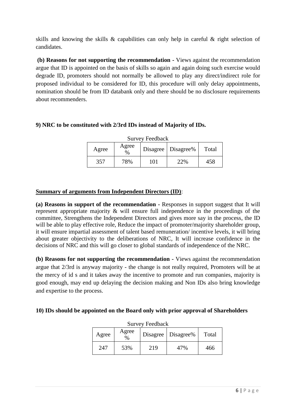skills and knowing the skills & capabilities can only help in careful & right selection of candidates.

**(b) Reasons for not supporting the recommendation -** Views against the recommendation argue that ID is appointed on the basis of skills so again and again doing such exercise would degrade ID, promoters should not normally be allowed to play any direct/indirect role for proposed individual to be considered for ID, this procedure will only delay appointments, nomination should be from ID databank only and there should be no disclosure requirements about recommenders.

#### **9) NRC to be constituted with 2/3rd IDs instead of Majority of IDs.**

| <b>Survey Feedback</b>                         |     |     |     |     |
|------------------------------------------------|-----|-----|-----|-----|
| Agree<br>Disagree   Disagree%<br>Agree<br>$\%$ |     |     |     |     |
| 357                                            | 78% | 101 | 22% | 458 |

#### **Summary of arguments from Independent Directors (ID)**:

**(a) Reasons in support of the recommendation -** Responses in support suggest that It will represent appropriate majority & will ensure full independence in the proceedings of the committee, Strengthens the Independent Directors and gives more say in the process, the ID will be able to play effective role, Reduce the impact of promoter/majority shareholder group, it will ensure impartial assessment of talent based remuneration/ incentive levels, it will bring about greater objectivity to the deliberations of NRC, It will increase confidence in the decisions of NRC and this will go closer to global standards of independence of the NRC.

**(b) Reasons for not supporting the recommendation -** Views against the recommendation argue that 2/3rd is anyway majority - the change is not really required, Promoters will be at the mercy of id s and it takes away the incentive to promote and run companies, majority is good enough, may end up delaying the decision making and Non IDs also bring knowledge and expertise to the process.

#### **10) IDs should be appointed on the Board only with prior approval of Shareholders**

 $S_{\text{S}}$  F 11 1

| Survey Peeddack |               |     |                      |       |
|-----------------|---------------|-----|----------------------|-------|
| Agree           | Agree<br>$\%$ |     | Disagree   Disagree% | Total |
| 247             | 53%           | 219 | 47%                  | 466   |

6 | P a g e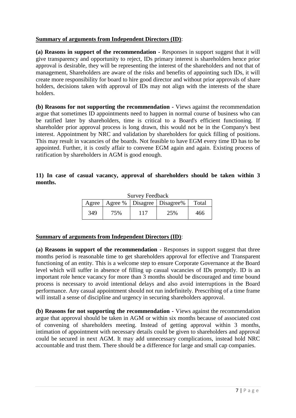#### **Summary of arguments from Independent Directors (ID)**:

**(a) Reasons in support of the recommendation -** Responses in support suggest that it will give transparency and opportunity to reject, IDs primary interest is shareholders hence prior approval is desirable, they will be representing the interest of the shareholders and not that of management, Shareholders are aware of the risks and benefits of appointing such IDs, it will create more responsibility for board to hire good director and without prior approvals of share holders, decisions taken with approval of IDs may not align with the interests of the share holders.

**(b) Reasons for not supporting the recommendation -** Views against the recommendation argue that sometimes ID appointments need to happen in normal course of business who can be ratified later by shareholders, time is critical to a Board's efficient functioning. If shareholder prior approval process is long drawn, this would not be in the Company's best interest. Appointment by NRC and validation by shareholders for quick filling of positions. This may result in vacancies of the boards. Not feasible to have EGM every time ID has to be appointed. Further, it is costly affair to convene EGM again and again. Existing process of ratification by shareholders in AGM is good enough.

#### **11) In case of casual vacancy, approval of shareholders should be taken within 3 months.**

| SUIVEY FEEQUACK |     |  |                                 |       |
|-----------------|-----|--|---------------------------------|-------|
| Agree           |     |  | Agree %   Disagree   Disagree % | Total |
| 349             | 75% |  | 25%                             | 466   |

 $S_{\text{source}}$   $\Gamma_{\text{eff}}$  and  $\Gamma_{\text{eff}}$ 

#### **Summary of arguments from Independent Directors (ID)**:

**(a) Reasons in support of the recommendation -** Responses in support suggest that three months period is reasonable time to get shareholders approval for effective and Transparent functioning of an entity. This is a welcome step to ensure Corporate Governance at the Board level which will suffer in absence of filling up casual vacancies of IDs promptly. ID is an important role hence vacancy for more than 3 months should be discouraged and time bound process is necessary to avoid intentional delays and also avoid interruptions in the Board performance. Any casual appointment should not run indefinitely. Prescribing of a time frame will install a sense of discipline and urgency in securing shareholders approval.

**(b) Reasons for not supporting the recommendation -** Views against the recommendation argue that approval should be taken in AGM or within six months because of associated cost of convening of shareholders meeting. Instead of getting approval within 3 months, intimation of appointment with necessary details could be given to shareholders and approval could be secured in next AGM. It may add unnecessary complications, instead hold NRC accountable and trust them. There should be a difference for large and small cap companies.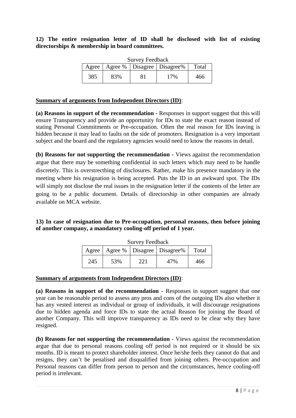#### **12) The entire resignation letter of ID shall be disclosed with list of existing directorships & membership in board committees.**

| <b>Survey Feedback</b> |     |  |                                 |       |  |
|------------------------|-----|--|---------------------------------|-------|--|
| Agree                  |     |  | Agree %   Disagree   Disagree % | Total |  |
| 385                    | 83% |  | 17%                             | 466   |  |

#### **Summary of arguments from Independent Directors (ID)**:

**(a) Reasons in support of the recommendation -** Responses in support suggest that this will ensure Transparency and provide an opportunity for IDs to state the exact reason instead of stating Personal Commitments or Pre-occupation. Often the real reason for IDs leaving is hidden because it may lead to faults on the side of promoters. Resignation is a very important subject and the board and the regulatory agencies would need to know the reasons in detail.

**(b) Reasons for not supporting the recommendation -** Views against the recommendation argue that there may be something confidential in such letters which may need to be handle discretely. This is overstrecthing of disclosures. Rather, make his presence mandatory in the meeting where his resignation is being accepted. Puts the ID in an awkward spot. The IDs will simply not disclose the real issues in the resignation letter if the contents of the letter are going to be a public document. Details of directorship in other companies are already available on MCA website.

#### **13) In case of resignation due to Pre-occupation, personal reasons, then before joining of another company, a mandatory cooling-off period of 1 year.**

| DUI VUY TUUUUUN |     |     |                                         |       |
|-----------------|-----|-----|-----------------------------------------|-------|
|                 |     |     | Agree   Agree %   Disagree   Disagree % | Total |
| 245             | 53% | 221 | 47%                                     | 466   |

## Survey Feedback

#### **Summary of arguments from Independent Directors (ID)**:

**(a) Reasons in support of the recommendation -** Responses in support suggest that one year can be reasonable period to assess any pros and cons of the outgoing IDs also whether it has any vested interest as individual or group of individuals, it will discourage resignations due to hidden agenda and force IDs to state the actual Reason for joining the Board of another Company. This will improve transparency as IDs need to be clear why they have resigned.

**(b) Reasons for not supporting the recommendation -** Views against the recommendation argue that due to personal reasons cooling off period is not required or it should be six months. ID is meant to protect shareholder interest. Once he/she feels they cannot do that and resigns, they can't be penalised and disqualified from joining others. Pre-occupation and Personal reasons can differ from person to person and the circumstances, hence cooling-off period is irrelevant.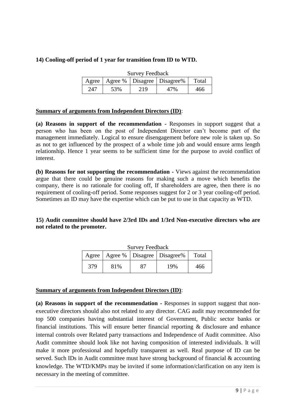#### **14) Cooling-off period of 1 year for transition from ID to WTD.**

| <b>Survey Feedback</b> |     |     |                                         |       |
|------------------------|-----|-----|-----------------------------------------|-------|
|                        |     |     | Agree   Agree %   Disagree   Disagree % | Total |
| 247                    | 53% | 219 | 47%                                     | 466   |

#### **Summary of arguments from Independent Directors (ID)**:

**(a) Reasons in support of the recommendation -** Responses in support suggest that a person who has been on the post of Independent Director can't become part of the management immediately. Logical to ensure disengagement before new role is taken up. So as not to get influenced by the prospect of a whole time job and would ensure arms length relationship. Hence 1 year seems to be sufficient time for the purpose to avoid conflict of interest.

**(b) Reasons for not supporting the recommendation -** Views against the recommendation argue that there could be genuine reasons for making such a move which benefits the company, there is no rationale for cooling off, If shareholders are agree, then there is no requirement of cooling-off period. Some responses suggest for 2 or 3 year cooling-off period. Sometimes an ID may have the expertise which can be put to use in that capacity as WTD.

#### **15) Audit committee should have 2/3rd IDs and 1/3rd Non-executive directors who are not related to the promoter.**

| Survey Feedback |     |  |                                         |       |  |
|-----------------|-----|--|-----------------------------------------|-------|--|
|                 |     |  | Agree   Agree %   Disagree   Disagree % | Total |  |
| 379             | 81% |  | 19%                                     | 466   |  |

#### Survey Feedback

#### **Summary of arguments from Independent Directors (ID)**:

**(a) Reasons in support of the recommendation -** Responses in support suggest that nonexecutive directors should also not related to any director. CAG audit may recommended for top 500 companies having substantial interest of Government, Public sector banks or financial institutions. This will ensure better financial reporting & disclosure and enhance internal controls over Related party transactions and Independence of Audit committee. Also Audit committee should look like not having composition of interested individuals. It will make it more professional and hopefully transparent as well. Real purpose of ID can be served. Such IDs in Audit committee must have strong background of financial & accounting knowledge. The WTD/KMPs may be invited if some information/clarification on any item is necessary in the meeting of committee.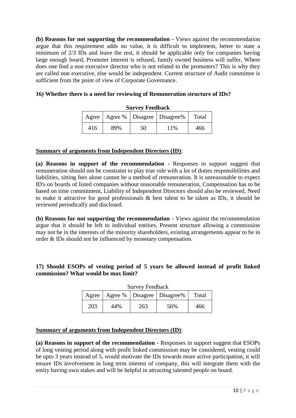**(b) Reasons for not supporting the recommendation -** Views against the recommendation argue that this requirement adds no value, it is difficult to implement, better to state a minimum of 2/3 IDs and leave the rest, it should be applicable only for companies having large enough board, Promoter interest is refused, family owned business will suffer, Where does one find a non executive director who is not related to the promoters? This is why they are called non executive, else would be independent. Current structure of Audit committee is sufficient from the point of view of Corporate Governance.

#### **16) Whether there is a need for reviewing of Remuneration structure of IDs?**

| DUI YUY TUUWAUN |     |    |                                         |       |  |  |
|-----------------|-----|----|-----------------------------------------|-------|--|--|
|                 |     |    | Agree   Agree %   Disagree   Disagree % | Total |  |  |
| 416             | 89% | 50 | 11%                                     | 466   |  |  |

#### **Survey Feedback**

#### **Summary of arguments from Independent Directors (ID)**:

**(a) Reasons in support of the recommendation -** Responses in support suggest that remuneration should not be constraint to play true role with a lot of duties responsibilities and liabilities, sitting fees alone cannot be a method of remuneration. It is unreasonable to expect ID's on boards of listed companies without reasonable remuneration, Compensation has to be based on time commitment, Liability of Independent Directors should also be reviewed, Need to make it attractive for good professionals & best talent to be taken as IDs, it should be reviewed periodically and disclosed.

**(b) Reasons for not supporting the recommendation -** Views against the recommendation argue that it should be left to individual entities, Present structure allowing a commission may not be in the interests of the minority shareholders, existing arrangements appear to be in order & IDs should not be influenced by monetary compensation.

#### **17) Should ESOPs of vesting period of 5 years be allowed instead of profit linked commission? What would be max limit?**

| <b>Survey Feedback</b> |     |     |                                         |       |  |
|------------------------|-----|-----|-----------------------------------------|-------|--|
|                        |     |     | Agree   Agree %   Disagree   Disagree % | Total |  |
| 203                    | 44% | 263 | 56%                                     | 466   |  |

### **Summary of arguments from Independent Directors (ID)**:

**(a) Reasons in support of the recommendation -** Responses in support suggest that ESOPs of long vesting period along with profit linked commission may be considered, vesting could be upto 3 years instead of 5, would motivate the IDs towards more active participation, it will ensure IDs involvement in long term interest of company, this will integrate them with the entity having own stakes and will be helpful in attracting talented people on board.